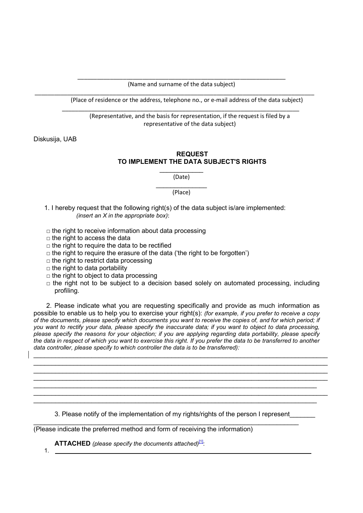\_\_\_\_\_\_\_\_\_\_\_\_\_\_\_\_\_\_\_\_\_\_\_\_\_\_\_\_\_\_\_\_\_\_\_\_\_\_\_\_\_\_\_\_\_\_\_\_\_\_\_\_\_\_\_\_\_\_\_\_\_\_\_\_ (Name and surname of the data subject)

\_\_\_\_\_\_\_\_\_\_\_\_\_\_\_\_\_\_\_\_\_\_\_\_\_\_\_\_\_\_\_\_\_\_\_\_\_\_\_\_\_\_\_\_\_\_\_\_\_\_\_\_\_\_\_\_\_\_\_\_\_\_\_\_\_\_\_\_\_\_\_\_\_

\_\_\_\_\_\_\_\_\_\_\_\_\_\_\_\_\_\_\_\_\_\_\_\_\_\_\_\_\_\_\_\_\_\_\_\_\_\_\_\_\_\_\_\_\_\_\_\_\_\_\_\_\_\_\_\_\_\_\_\_\_\_\_\_\_\_\_\_\_\_\_\_\_\_\_\_\_\_\_\_\_\_\_\_\_\_

(Place of residence or the address, telephone no., or e-mail address of the data subject)

(Representative, and the basis for representation, if the request is filed by a representative of the data subject)

Diskusija, UAB

## REQUEST TO IMPLEMENT THE DATA SUBJECT'S RIGHTS

(Date)

 $\frac{1}{2}$ (Place)

- 1. I hereby request that the following right(s) of the data subject is/are implemented: (insert an  $X$  in the appropriate box):
- $\Box$  the right to receive information about data processing
- $\Box$  the right to access the data
- $\Box$  the right to require the data to be rectified
- $\Box$  the right to require the erasure of the data ('the right to be forgotten')
- $\Box$  the right to restrict data processing
- $\Box$  the right to data portability
- $\Box$  the right to object to data processing
- $\Box$  the right not to be subject to a decision based solely on automated processing, including profiling.

2. Please indicate what you are requesting specifically and provide as much information as possible to enable us to help you to exercise your right(s): (for example, if you prefer to receive a copy of the documents, please specify which documents you want to receive the copies of, and for which period; if you want to rectify your data, please specify the inaccurate data; if you want to object to data processing, please specify the reasons for your objection; if you are applying regarding data portability, please specify the data in respect of which you want to exercise this right. If you prefer the data to be transferred to another data controller, please specify to which controller the data is to be transferred):

\_\_\_\_\_\_\_\_\_\_\_\_\_\_\_\_\_\_\_\_\_\_\_\_\_\_\_\_\_\_\_\_\_\_\_\_\_\_\_\_\_\_\_\_\_\_\_\_\_\_\_\_\_\_\_\_\_\_\_\_\_\_\_\_\_\_\_\_\_\_\_\_\_\_\_\_\_\_\_\_\_

\_\_\_\_\_\_\_\_\_\_\_\_\_\_\_\_\_\_\_\_\_\_\_\_\_\_\_\_\_\_\_\_\_\_\_\_\_\_\_\_\_\_\_\_\_\_\_\_\_\_\_\_\_\_\_\_\_\_\_\_\_\_\_\_\_\_\_\_\_\_\_\_\_\_\_\_\_\_\_\_\_  $\_$  , and the state of the state of the state of the state of the state of the state of the state of the state of the state of the state of the state of the state of the state of the state of the state of the state of the

3. Please notify of the implementation of my rights/rights of the person I represent

 $\_$  , and the state of the state of the state of the state of the state of the state of the state of the state of the state of the state of the state of the state of the state of the state of the state of the state of the

\_\_\_\_\_\_\_\_\_\_\_\_\_\_\_\_\_\_\_\_\_\_\_\_\_\_\_\_\_\_\_\_\_\_\_\_\_\_\_\_\_\_\_\_\_\_\_\_\_\_\_\_\_\_\_\_\_\_\_\_\_\_\_\_\_\_\_\_\_\_\_\_\_ (Please indicate the preferred method and form of receiving the information)

**ATTACHED** (please specify the documents attached) $\frac{11}{2}$ :

1.